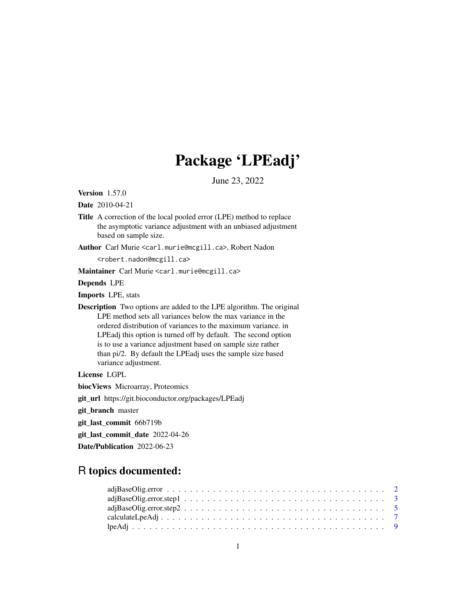## Package 'LPEadj'

June 23, 2022

Version 1.57.0

Date 2010-04-21

Title A correction of the local pooled error (LPE) method to replace the asymptotic variance adjustment with an unbiased adjustment based on sample size.

Author Carl Murie <carl.murie@mcgill.ca>, Robert Nadon

<robert.nadon@mcgill.ca>

Maintainer Carl Murie <carl.murie@mcgill.ca>

Depends LPE

Imports LPE, stats

Description Two options are added to the LPE algorithm. The original LPE method sets all variances below the max variance in the ordered distribution of variances to the maximum variance. in LPEadj this option is turned off by default. The second option is to use a variance adjustment based on sample size rather than pi/2. By default the LPEadj uses the sample size based variance adjustment.

License LGPL

biocViews Microarray, Proteomics

git\_url https://git.bioconductor.org/packages/LPEadj

git\_branch master

git\_last\_commit 66b719b

git\_last\_commit\_date 2022-04-26

Date/Publication 2022-06-23

### R topics documented: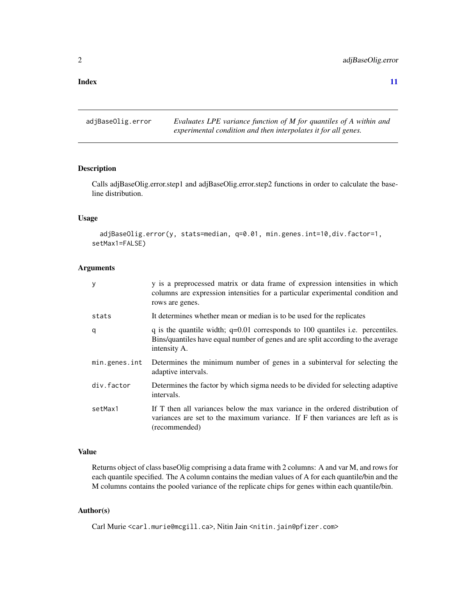#### <span id="page-1-0"></span>**Index** [11](#page-10-0)

adjBaseOlig.error *Evaluates LPE variance function of M for quantiles of A within and experimental condition and then interpolates it for all genes.*

#### Description

Calls adjBaseOlig.error.step1 and adjBaseOlig.error.step2 functions in order to calculate the baseline distribution.

#### Usage

```
adjBaseOlig.error(y, stats=median, q=0.01, min.genes.int=10,div.factor=1,
setMax1=FALSE)
```
#### Arguments

| У             | y is a preprocessed matrix or data frame of expression intensities in which<br>columns are expression intensities for a particular experimental condition and<br>rows are genes.     |
|---------------|--------------------------------------------------------------------------------------------------------------------------------------------------------------------------------------|
| stats         | It determines whether mean or median is to be used for the replicates                                                                                                                |
| q             | q is the quantile width; $q=0.01$ corresponds to 100 quantiles i.e. percentiles.<br>Bins/quantiles have equal number of genes and are split according to the average<br>intensity A. |
| min.genes.int | Determines the minimum number of genes in a subinterval for selecting the<br>adaptive intervals.                                                                                     |
| div.factor    | Determines the factor by which sigma needs to be divided for selecting adaptive<br>intervals.                                                                                        |
| setMax1       | If T then all variances below the max variance in the ordered distribution of<br>variances are set to the maximum variance. If F then variances are left as is<br>(recommended)      |

#### Value

Returns object of class baseOlig comprising a data frame with 2 columns: A and var M, and rows for each quantile specified. The A column contains the median values of A for each quantile/bin and the M columns contains the pooled variance of the replicate chips for genes within each quantile/bin.

#### Author(s)

Carl Murie <carl.murie@mcgill.ca>, Nitin Jain <nitin.jain@pfizer.com>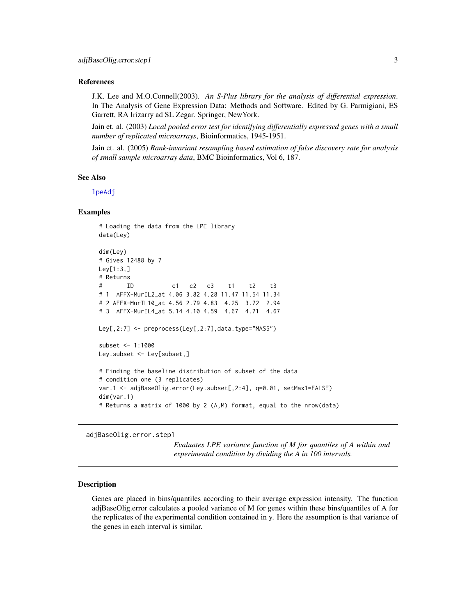#### <span id="page-2-0"></span>References

J.K. Lee and M.O.Connell(2003). *An S-Plus library for the analysis of differential expression*. In The Analysis of Gene Expression Data: Methods and Software. Edited by G. Parmigiani, ES Garrett, RA Irizarry ad SL Zegar. Springer, NewYork.

Jain et. al. (2003) *Local pooled error test for identifying differentially expressed genes with a small number of replicated microarrays*, Bioinformatics, 1945-1951.

Jain et. al. (2005) *Rank-invariant resampling based estimation of false discovery rate for analysis of small sample microarray data*, BMC Bioinformatics, Vol 6, 187.

#### See Also

[lpeAdj](#page-8-1)

#### Examples

```
# Loading the data from the LPE library
data(Ley)
dim(Ley)
# Gives 12488 by 7
Ley[1:3,]
# Returns
# ID c1 c2 c3 t1 t2 t3
# 1 AFFX-MurIL2_at 4.06 3.82 4.28 11.47 11.54 11.34
# 2 AFFX-MurIL10_at 4.56 2.79 4.83 4.25 3.72 2.94
# 3 AFFX-MurIL4_at 5.14 4.10 4.59 4.67 4.71 4.67
Ley[,2:7] <- preprocess(Ley[,2:7],data.type="MAS5")
subset <- 1:1000
Ley.subset <- Ley[subset,]
# Finding the baseline distribution of subset of the data
# condition one (3 replicates)
var.1 <- adjBaseOlig.error(Ley.subset[,2:4], q=0.01, setMax1=FALSE)
dim(var.1)
# Returns a matrix of 1000 by 2 (A,M) format, equal to the nrow(data)
```
adjBaseOlig.error.step1

*Evaluates LPE variance function of M for quantiles of A within and experimental condition by dividing the A in 100 intervals.*

#### Description

Genes are placed in bins/quantiles according to their average expression intensity. The function adjBaseOlig.error calculates a pooled variance of M for genes within these bins/quantiles of A for the replicates of the experimental condition contained in y. Here the assumption is that variance of the genes in each interval is similar.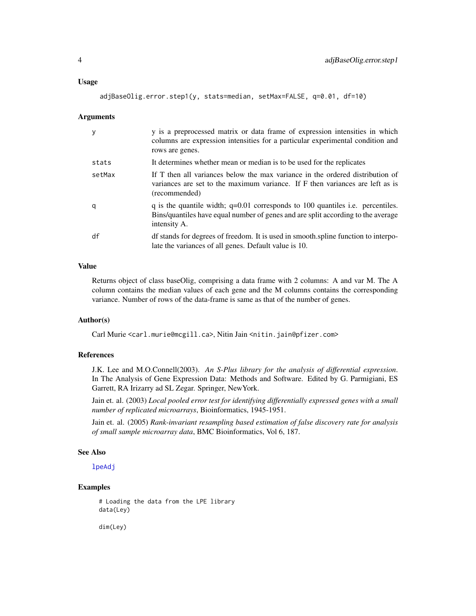#### <span id="page-3-0"></span>Usage

```
adjBaseOlig.error.step1(y, stats=median, setMax=FALSE, q=0.01, df=10)
```
#### Arguments

| y      | y is a preprocessed matrix or data frame of expression intensities in which<br>columns are expression intensities for a particular experimental condition and<br>rows are genes.     |
|--------|--------------------------------------------------------------------------------------------------------------------------------------------------------------------------------------|
| stats  | It determines whether mean or median is to be used for the replicates                                                                                                                |
| setMax | If T then all variances below the max variance in the ordered distribution of<br>variances are set to the maximum variance. If F then variances are left as is<br>(recommended)      |
| q      | q is the quantile width; $q=0.01$ corresponds to 100 quantiles i.e. percentiles.<br>Bins/quantiles have equal number of genes and are split according to the average<br>intensity A. |
| df     | df stands for degrees of freedom. It is used in smooth, spline function to interpo-<br>late the variances of all genes. Default value is 10.                                         |

#### Value

Returns object of class baseOlig, comprising a data frame with 2 columns: A and var M. The A column contains the median values of each gene and the M columns contains the corresponding variance. Number of rows of the data-frame is same as that of the number of genes.

#### Author(s)

Carl Murie <carl.murie@mcgill.ca>, Nitin Jain <nitin.jain@pfizer.com>

#### References

J.K. Lee and M.O.Connell(2003). *An S-Plus library for the analysis of differential expression*. In The Analysis of Gene Expression Data: Methods and Software. Edited by G. Parmigiani, ES Garrett, RA Irizarry ad SL Zegar. Springer, NewYork.

Jain et. al. (2003) *Local pooled error test for identifying differentially expressed genes with a small number of replicated microarrays*, Bioinformatics, 1945-1951.

Jain et. al. (2005) *Rank-invariant resampling based estimation of false discovery rate for analysis of small sample microarray data*, BMC Bioinformatics, Vol 6, 187.

#### See Also

[lpeAdj](#page-8-1)

#### Examples

# Loading the data from the LPE library data(Ley)

dim(Ley)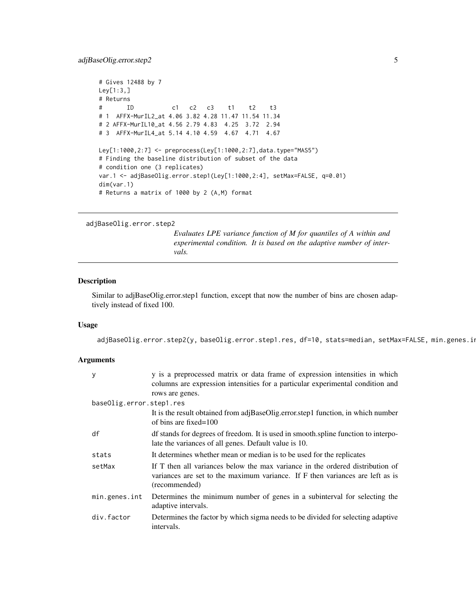```
# Gives 12488 by 7
Ley[1:3,]
# Returns
# ID c1 c2 c3 t1 t2 t3
# 1 AFFX-MurIL2_at 4.06 3.82 4.28 11.47 11.54 11.34
# 2 AFFX-MurIL10_at 4.56 2.79 4.83 4.25 3.72 2.94
# 3 AFFX-MurIL4_at 5.14 4.10 4.59 4.67 4.71 4.67
Ley[1:1000,2:7] <- preprocess(Ley[1:1000,2:7],data.type="MAS5")
# Finding the baseline distribution of subset of the data
# condition one (3 replicates)
var.1 <- adjBaseOlig.error.step1(Ley[1:1000,2:4], setMax=FALSE, q=0.01)
dim(var.1)
# Returns a matrix of 1000 by 2 (A,M) format
```
adjBaseOlig.error.step2

*Evaluates LPE variance function of M for quantiles of A within and experimental condition. It is based on the adaptive number of intervals.*

#### Description

Similar to adjBaseOlig.error.step1 function, except that now the number of bins are chosen adaptively instead of fixed 100.

#### Usage

adjBaseOlig.error.step2(y, baseOlig.error.step1.res, df=10, stats=median, setMax=FALSE, min.genes.in

#### Arguments

| У                        | y is a preprocessed matrix or data frame of expression intensities in which<br>columns are expression intensities for a particular experimental condition and<br>rows are genes. |
|--------------------------|----------------------------------------------------------------------------------------------------------------------------------------------------------------------------------|
| baseOlig.error.step1.res |                                                                                                                                                                                  |
|                          | It is the result obtained from adjBaseOlig.error.step1 function, in which number<br>of bins are fixed= $100$                                                                     |
| df                       | df stands for degrees of freedom. It is used in smooth, spline function to interpo-<br>late the variances of all genes. Default value is 10.                                     |
| stats                    | It determines whether mean or median is to be used for the replicates                                                                                                            |
| setMax                   | If T then all variances below the max variance in the ordered distribution of<br>variances are set to the maximum variance. If F then variances are left as is<br>(recommended)  |
| min.genes.int            | Determines the minimum number of genes in a subinterval for selecting the<br>adaptive intervals.                                                                                 |
| div.factor               | Determines the factor by which sigma needs to be divided for selecting adaptive<br>intervals.                                                                                    |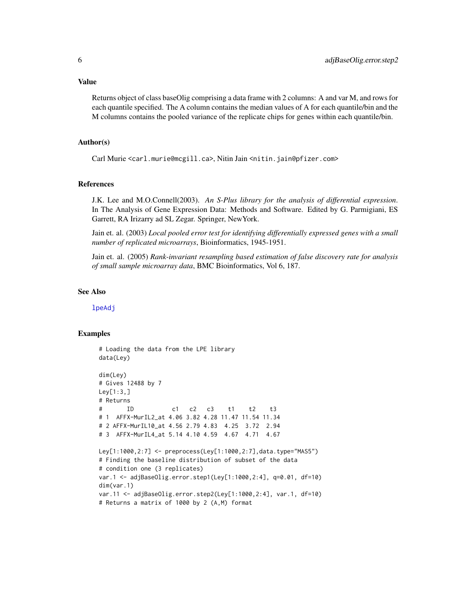#### <span id="page-5-0"></span>Value

Returns object of class baseOlig comprising a data frame with 2 columns: A and var M, and rows for each quantile specified. The A column contains the median values of A for each quantile/bin and the M columns contains the pooled variance of the replicate chips for genes within each quantile/bin.

#### Author(s)

Carl Murie <carl.murie@mcgill.ca>, Nitin Jain <nitin.jain@pfizer.com>

#### References

J.K. Lee and M.O.Connell(2003). *An S-Plus library for the analysis of differential expression*. In The Analysis of Gene Expression Data: Methods and Software. Edited by G. Parmigiani, ES Garrett, RA Irizarry ad SL Zegar. Springer, NewYork.

Jain et. al. (2003) *Local pooled error test for identifying differentially expressed genes with a small number of replicated microarrays*, Bioinformatics, 1945-1951.

Jain et. al. (2005) *Rank-invariant resampling based estimation of false discovery rate for analysis of small sample microarray data*, BMC Bioinformatics, Vol 6, 187.

#### See Also

[lpeAdj](#page-8-1)

#### Examples

```
# Loading the data from the LPE library
data(Ley)
dim(Ley)
# Gives 12488 by 7
Ley[1:3,]
# Returns
# ID c1 c2 c3 t1 t2 t3
# 1 AFFX-MurIL2_at 4.06 3.82 4.28 11.47 11.54 11.34
# 2 AFFX-MurIL10_at 4.56 2.79 4.83 4.25 3.72 2.94
# 3 AFFX-MurIL4_at 5.14 4.10 4.59 4.67 4.71 4.67
Ley[1:1000,2:7] <- preprocess(Ley[1:1000,2:7],data.type="MAS5")
# Finding the baseline distribution of subset of the data
# condition one (3 replicates)
var.1 <- adjBaseOlig.error.step1(Ley[1:1000,2:4], q=0.01, df=10)
dim(var.1)
var.11 <- adjBaseOlig.error.step2(Ley[1:1000,2:4], var.1, df=10)
# Returns a matrix of 1000 by 2 (A,M) format
```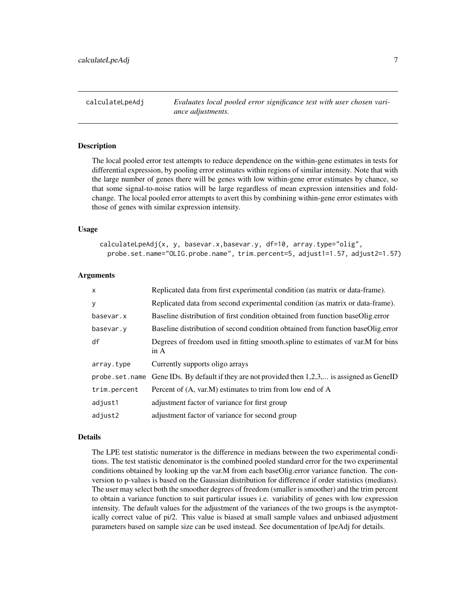<span id="page-6-0"></span>calculateLpeAdj *Evaluates local pooled error significance test with user chosen variance adjustments.*

#### Description

The local pooled error test attempts to reduce dependence on the within-gene estimates in tests for differential expression, by pooling error estimates within regions of similar intensity. Note that with the large number of genes there will be genes with low within-gene error estimates by chance, so that some signal-to-noise ratios will be large regardless of mean expression intensities and foldchange. The local pooled error attempts to avert this by combining within-gene error estimates with those of genes with similar expression intensity.

#### Usage

calculateLpeAdj(x, y, basevar.x,basevar.y, df=10, array.type="olig", probe.set.name="OLIG.probe.name", trim.percent=5, adjust1=1.57, adjust2=1.57)

#### Arguments

| $\mathsf{x}$   | Replicated data from first experimental condition (as matrix or data-frame).            |
|----------------|-----------------------------------------------------------------------------------------|
| y              | Replicated data from second experimental condition (as matrix or data-frame).           |
| basevar.x      | Baseline distribution of first condition obtained from function baseOlig.error          |
| basevar.y      | Baseline distribution of second condition obtained from function baseOlig.error         |
| df             | Degrees of freedom used in fitting smooth.spline to estimates of var.M for bins<br>in A |
| array.type     | Currently supports oligo arrays                                                         |
| probe.set.name | Gene IDs. By default if they are not provided then $1,2,3,$ is assigned as GeneID       |
| trim.percent   | Percent of (A, var.M) estimates to trim from low end of A                               |
| adjust1        | adjustment factor of variance for first group                                           |
| adjust2        | adjustment factor of variance for second group                                          |

#### Details

The LPE test statistic numerator is the difference in medians between the two experimental conditions. The test statistic denominator is the combined pooled standard error for the two experimental conditions obtained by looking up the var.M from each baseOlig.error variance function. The conversion to p-values is based on the Gaussian distribution for difference if order statistics (medians). The user may select both the smoother degrees of freedom (smaller is smoother) and the trim percent to obtain a variance function to suit particular issues i.e. variability of genes with low expression intensity. The default values for the adjustment of the variances of the two groups is the asymptotically correct value of pi/2. This value is biased at small sample values and unbiased adjustment parameters based on sample size can be used instead. See documentation of lpeAdj for details.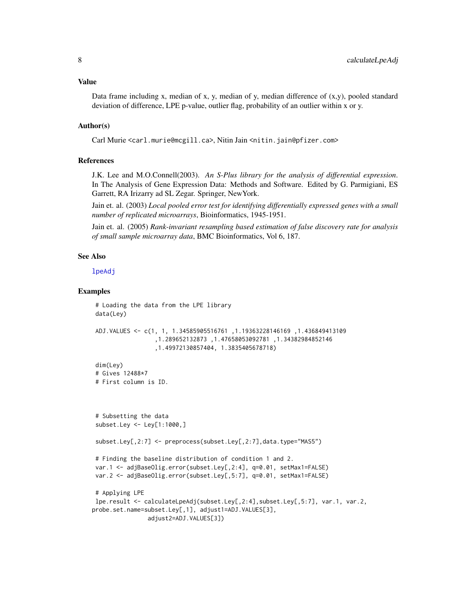<span id="page-7-0"></span>Data frame including x, median of x, y, median of y, median difference of  $(x,y)$ , pooled standard deviation of difference, LPE p-value, outlier flag, probability of an outlier within x or y.

#### Author(s)

Carl Murie <carl.murie@mcgill.ca>, Nitin Jain <nitin.jain@pfizer.com>

#### References

J.K. Lee and M.O.Connell(2003). *An S-Plus library for the analysis of differential expression*. In The Analysis of Gene Expression Data: Methods and Software. Edited by G. Parmigiani, ES Garrett, RA Irizarry ad SL Zegar. Springer, NewYork.

Jain et. al. (2003) *Local pooled error test for identifying differentially expressed genes with a small number of replicated microarrays*, Bioinformatics, 1945-1951.

Jain et. al. (2005) *Rank-invariant resampling based estimation of false discovery rate for analysis of small sample microarray data*, BMC Bioinformatics, Vol 6, 187.

#### See Also

[lpeAdj](#page-8-1)

#### Examples

```
# Loading the data from the LPE library
data(Ley)
ADJ.VALUES <- c(1, 1, 1.34585905516761 ,1.19363228146169 ,1.436849413109
                  ,1.289652132873 ,1.47658053092781 ,1.34382984852146
                  ,1.49972130857404, 1.3835405678718)
dim(Ley)
# Gives 12488*7
# First column is ID.
# Subsetting the data
subset.Ley <- Ley[1:1000,]
subset.Ley[,2:7] <- preprocess(subset.Ley[,2:7],data.type="MAS5")
# Finding the baseline distribution of condition 1 and 2.
var.1 <- adjBaseOlig.error(subset.Ley[,2:4], q=0.01, setMax1=FALSE)
var.2 <- adjBaseOlig.error(subset.Ley[,5:7], q=0.01, setMax1=FALSE)
# Applying LPE
lpe.result <- calculateLpeAdj(subset.Ley[,2:4],subset.Ley[,5:7], var.1, var.2,
probe.set.name=subset.Ley[,1], adjust1=ADJ.VALUES[3],
               adjust2=ADJ.VALUES[3])
```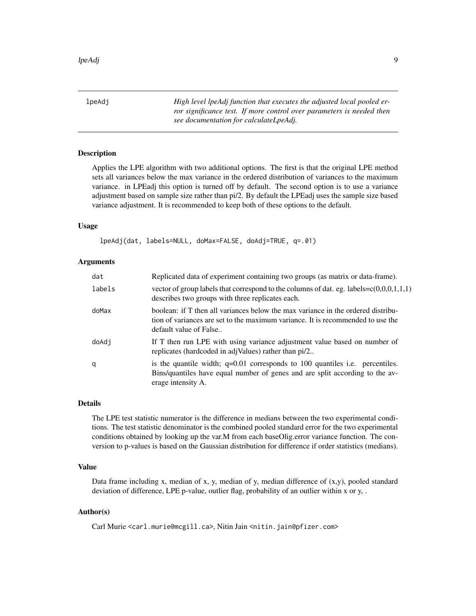<span id="page-8-1"></span><span id="page-8-0"></span>lpeAdj *High level lpeAdj function that executes the adjusted local pooled error significance test. If more control over parameters is needed then see documentation for calculateLpeAdj.*

#### **Description**

Applies the LPE algorithm with two additional options. The first is that the original LPE method sets all variances below the max variance in the ordered distribution of variances to the maximum variance. in LPEadj this option is turned off by default. The second option is to use a variance adjustment based on sample size rather than pi/2. By default the LPEadj uses the sample size based variance adjustment. It is recommended to keep both of these options to the default.

#### Usage

lpeAdj(dat, labels=NULL, doMax=FALSE, doAdj=TRUE, q=.01)

#### Arguments

| dat    | Replicated data of experiment containing two groups (as matrix or data-frame).                                                                                                                |
|--------|-----------------------------------------------------------------------------------------------------------------------------------------------------------------------------------------------|
| labels | vector of group labels that correspond to the columns of dat. eg. labels= $c(0,0,0,1,1,1)$<br>describes two groups with three replicates each.                                                |
| doMax  | boolean: if T then all variances below the max variance in the ordered distribu-<br>tion of variances are set to the maximum variance. It is recommended to use the<br>default value of False |
| doAdj  | If T then run LPE with using variance adjustment value based on number of<br>replicates (hardcoded in adjValues) rather than pi/2                                                             |
| q      | is the quantile width; $q=0.01$ corresponds to 100 quantiles i.e. percentiles.<br>Bins/quantiles have equal number of genes and are split according to the av-<br>erage intensity A.          |

#### Details

The LPE test statistic numerator is the difference in medians between the two experimental conditions. The test statistic denominator is the combined pooled standard error for the two experimental conditions obtained by looking up the var.M from each baseOlig.error variance function. The conversion to p-values is based on the Gaussian distribution for difference if order statistics (medians).

#### Value

Data frame including x, median of x, y, median of y, median difference of  $(x,y)$ , pooled standard deviation of difference, LPE p-value, outlier flag, probability of an outlier within x or y, .

#### Author(s)

Carl Murie <carl.murie@mcgill.ca>, Nitin Jain <nitin.jain@pfizer.com>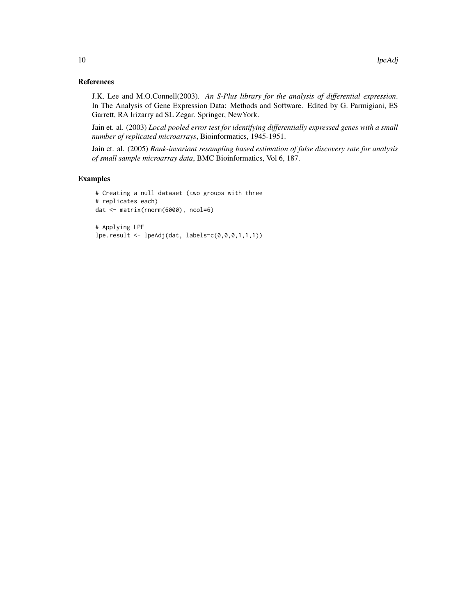#### References

J.K. Lee and M.O.Connell(2003). *An S-Plus library for the analysis of differential expression*. In The Analysis of Gene Expression Data: Methods and Software. Edited by G. Parmigiani, ES Garrett, RA Irizarry ad SL Zegar. Springer, NewYork.

Jain et. al. (2003) *Local pooled error test for identifying differentially expressed genes with a small number of replicated microarrays*, Bioinformatics, 1945-1951.

Jain et. al. (2005) *Rank-invariant resampling based estimation of false discovery rate for analysis of small sample microarray data*, BMC Bioinformatics, Vol 6, 187.

#### Examples

```
# Creating a null dataset (two groups with three
# replicates each)
dat <- matrix(rnorm(6000), ncol=6)
```
# Applying LPE lpe.result <- lpeAdj(dat, labels=c(0,0,0,1,1,1))